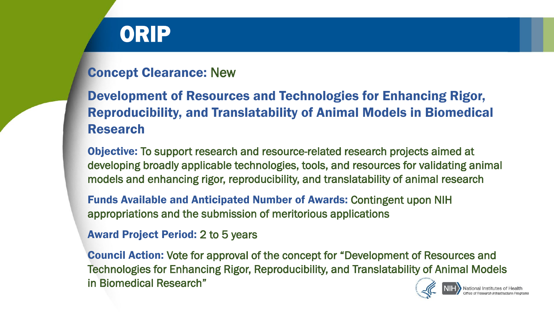# ORIP

#### Concept Clearance: New

### Development of Resources and Technologies for Enhancing Rigor, Reproducibility, and Translatability of Animal Models in Biomedical Research

Objective: To support research and resource-related research projects aimed at developing broadly applicable technologies, tools, and resources for validating animal models and enhancing rigor, reproducibility, and translatability of animal research

Funds Available and Anticipated Number of Awards: Contingent upon NIH appropriations and the submission of meritorious applications

#### Award Project Period: 2 to 5 years

Council Action: Vote for approval of the concept for "Development of Resources and Technologies for Enhancing Rigor, Reproducibility, and Translatability of Animal Models in Biomedical Research"

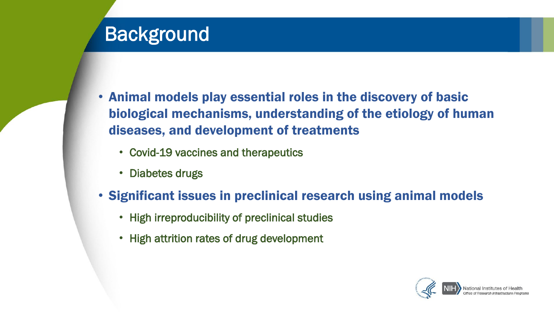## **Background**

- Animal models play essential roles in the discovery of basic biological mechanisms, understanding of the etiology of human diseases, and development of treatments
	- Covid-19 vaccines and therapeutics
	- Diabetes drugs
- Significant issues in preclinical research using animal models
	- High irreproducibility of preclinical studies
	- High attrition rates of drug development

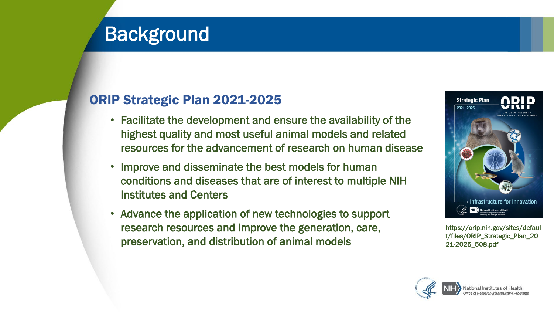## **Background**

#### ORIP Strategic Plan 2021-2025

- Facilitate the development and ensure the availability of the highest quality and most useful animal models and related resources for the advancement of research on human disease
- Improve and disseminate the best models for human conditions and diseases that are of interest to multiple NIH Institutes and Centers
- Advance the application of new technologies to support research resources and improve the generation, care, preservation, and distribution of animal models



[https://orip.nih.gov/sites/defaul](https://orip.nih.gov/sites/default/files/ORIP_Strategic_Plan_2021-2025_508.pdf) t/files/ORIP\_Strategic\_Plan\_20 21-2025\_508.pdf

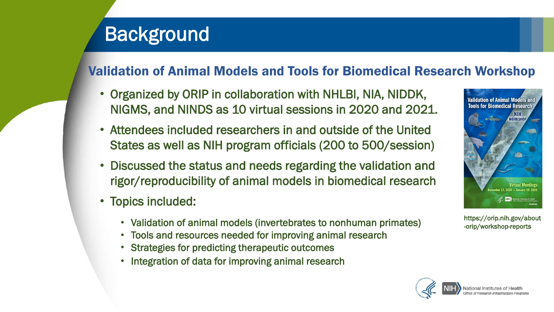## **Background**

### Validation of Animal Models and Tools for Biomedical Research Workshop

- Organized by ORIP in collaboration with NHLBI, NIA, NIDDK, NIGMS, and NINDS as 10 virtual sessions in 2020 and 2021.
- Attendees included researchers in and outside of the United States as well as NIH program officials (200 to 500/session)
- Discussed the status and needs regarding the validation and rigor/reproducibility of animal models in biomedical research
- Topics included:
	- Validation of animal models (invertebrates to nonhuman primates)
	- Tools and resources needed for improving animal research
	- Strategies for predicting therapeutic outcomes
	- Integration of data for improving animal research



[https://orip.nih.gov/about](https://orip.nih.gov/about-orip/workshop-reports) -orip/workshop-reports

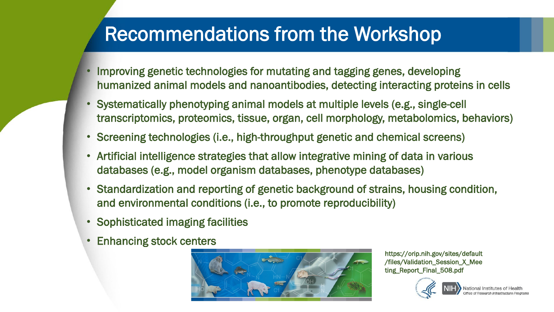### Recommendations from the Workshop

- Improving genetic technologies for mutating and tagging genes, developing humanized animal models and nanoantibodies, detecting interacting proteins in cells
- Systematically phenotyping animal models at multiple levels (e.g., single-cell transcriptomics, proteomics, tissue, organ, cell morphology, metabolomics, behaviors)
- Screening technologies (i.e., high-throughput genetic and chemical screens)
- Artificial intelligence strategies that allow integrative mining of data in various databases (e.g., model organism databases, phenotype databases)
- Standardization and reporting of genetic background of strains, housing condition, and environmental conditions (i.e., to promote reproducibility)
- Sophisticated imaging facilities
- Enhancing stock centers



[https://orip.nih.gov/sites/default](https://orip.nih.gov/sites/default/files/Validation_Session_X_Meeting_Report_Final_508.pdf) /files/Validation\_Session\_X\_Mee ting\_Report\_Final\_508.pdf

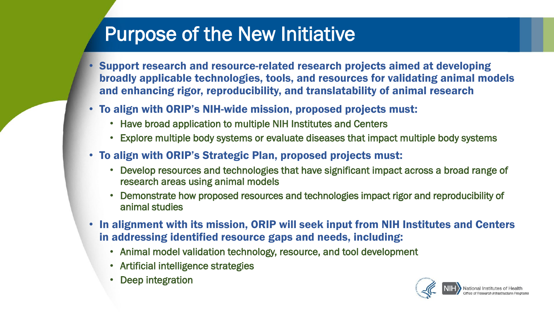## Purpose of the New Initiative

- Support research and resource-related research projects aimed at developing broadly applicable technologies, tools, and resources for validating animal models and enhancing rigor, reproducibility, and translatability of animal research
- To align with ORIP's NIH-wide mission, proposed projects must:
	- Have broad application to multiple NIH Institutes and Centers
	- Explore multiple body systems or evaluate diseases that impact multiple body systems
- To align with ORIP's Strategic Plan, proposed projects must:
	- Develop resources and technologies that have significant impact across a broad range of research areas using animal models
	- Demonstrate how proposed resources and technologies impact rigor and reproducibility of animal studies
- In alignment with its mission, ORIP will seek input from NIH Institutes and Centers in addressing identified resource gaps and needs, including:
	- Animal model validation technology, resource, and tool development
	- Artificial intelligence strategies
	- Deep integration

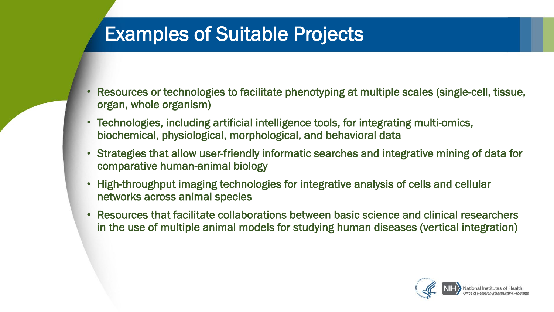### Examples of Suitable Projects

- Resources or technologies to facilitate phenotyping at multiple scales (single-cell, tissue, organ, whole organism)
- Technologies, including artificial intelligence tools, for integrating multi-omics, biochemical, physiological, morphological, and behavioral data
- Strategies that allow user-friendly informatic searches and integrative mining of data for comparative human-animal biology
- High-throughput imaging technologies for integrative analysis of cells and cellular networks across animal species
- Resources that facilitate collaborations between basic science and clinical researchers in the use of multiple animal models for studying human diseases (vertical integration)

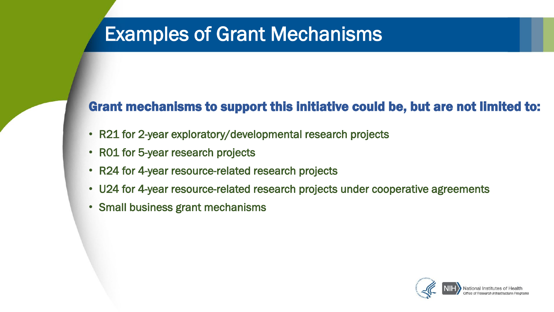### Examples of Grant Mechanisms

#### Grant mechanisms to support this initiative could be, but are not limited to:

- R21 for 2-year exploratory/developmental research projects
- R01 for 5-year research projects
- R24 for 4-year resource-related research projects
- U24 for 4-year resource-related research projects under cooperative agreements
- Small business grant mechanisms